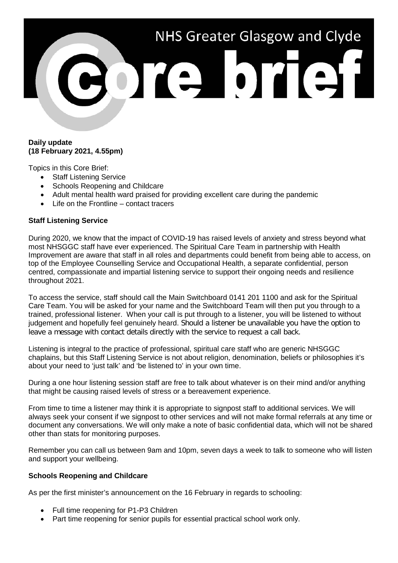# NHS Greater Glasgow and Clyde ore brief

# **Daily update (18 February 2021, 4.55pm)**

Topics in this Core Brief:

- Staff Listening Service
- Schools Reopening and Childcare
- Adult mental health ward praised for providing excellent care during the pandemic
- Life on the Frontline contact tracers

# **Staff Listening Service**

During 2020, we know that the impact of COVID-19 has raised levels of anxiety and stress beyond what most NHSGGC staff have ever experienced. The Spiritual Care Team in partnership with Health Improvement are aware that staff in all roles and departments could benefit from being able to access, on top of the Employee Counselling Service and Occupational Health, a separate confidential, person centred, compassionate and impartial listening service to support their ongoing needs and resilience throughout 2021.

To access the service, staff should call the Main Switchboard 0141 201 1100 and ask for the Spiritual Care Team. You will be asked for your name and the Switchboard Team will then put you through to a trained, professional listener. When your call is put through to a listener, you will be listened to without judgement and hopefully feel genuinely heard. Should a listener be unavailable you have the option to leave a message with contact details directly with the service to request a call back.

Listening is integral to the practice of professional, spiritual care staff who are generic NHSGGC chaplains, but this Staff Listening Service is not about religion, denomination, beliefs or philosophies it's about your need to 'just talk' and 'be listened to' in your own time.

During a one hour listening session staff are free to talk about whatever is on their mind and/or anything that might be causing raised levels of stress or a bereavement experience.

From time to time a listener may think it is appropriate to signpost staff to additional services. We will always seek your consent if we signpost to other services and will not make formal referrals at any time or document any conversations. We will only make a note of basic confidential data, which will not be shared other than stats for monitoring purposes.

Remember you can call us between 9am and 10pm, seven days a week to talk to someone who will listen and support your wellbeing.

# **Schools Reopening and Childcare**

As per the first minister's announcement on the 16 February in regards to schooling:

- Full time reopening for P1-P3 Children
- Part time reopening for senior pupils for essential practical school work only.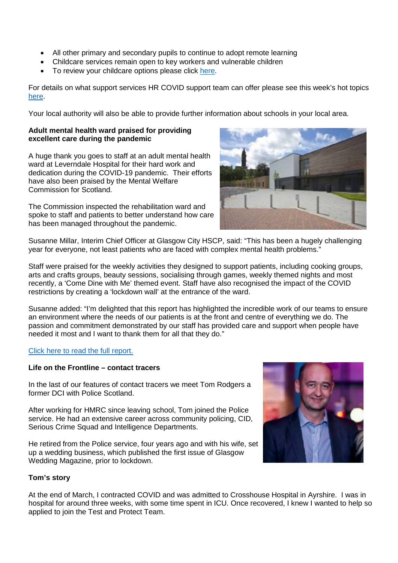- All other primary and secondary pupils to continue to adopt remote learning
- Childcare services remain open to key workers and vulnerable children
- To review your childcare options please click [here.](http://www.staffnet.ggc.scot.nhs.uk/Corporate%20Services/Communications/Hot%20Topics/Documents/HR%20-%20COVID%20Support%20Team%20Comms%20-%20Childcare.doc)

For details on what support services HR COVID support team can offer please see this week's hot topics [here.](http://www.staffnet.ggc.scot.nhs.uk/Corporate%20Services/Communications/Hot%20Topics/Pages/comms_HRCOVIDsupportteam_mb020221.aspx)

Your local authority will also be able to provide further information about schools in your local area.

# **Adult mental health ward praised for providing excellent care during the pandemic**

A huge thank you goes to staff at an adult mental health ward at Leverndale Hospital for their hard work and dedication during the COVID-19 pandemic. Their efforts have also been praised by the Mental Welfare Commission for Scotland.

The Commission inspected the rehabilitation ward and spoke to staff and patients to better understand how care has been managed throughout the pandemic.



Susanne Millar, Interim Chief Officer at Glasgow City HSCP, said: "This has been a hugely challenging year for everyone, not least patients who are faced with complex mental health problems."

Staff were praised for the weekly activities they designed to support patients, including cooking groups, arts and crafts groups, beauty sessions, socialising through games, weekly themed nights and most recently, a 'Come Dine with Me' themed event. Staff have also recognised the impact of the COVID restrictions by creating a 'lockdown wall' at the entrance of the ward.

Susanne added: "I'm delighted that this report has highlighted the incredible work of our teams to ensure an environment where the needs of our patients is at the front and centre of everything we do. The passion and commitment demonstrated by our staff has provided care and support when people have needed it most and I want to thank them for all that they do."

# [Click here to read the full report.](https://www.mwcscot.org.uk/sites/default/files/2021-02/LeverndaleHospital-RehabilitationWard_20201215a.pdf)

# **Life on the Frontline – contact tracers**

In the last of our features of contact tracers we meet Tom Rodgers a former DCI with Police Scotland.

After working for HMRC since leaving school, Tom joined the Police service. He had an extensive career across community policing, CID, Serious Crime Squad and Intelligence Departments.

He retired from the Police service, four years ago and with his wife, set up a wedding business, which published the first issue of Glasgow Wedding Magazine, prior to lockdown.



# **Tom's story**

At the end of March, I contracted COVID and was admitted to Crosshouse Hospital in Ayrshire. I was in hospital for around three weeks, with some time spent in ICU. Once recovered, I knew I wanted to help so applied to join the Test and Protect Team.